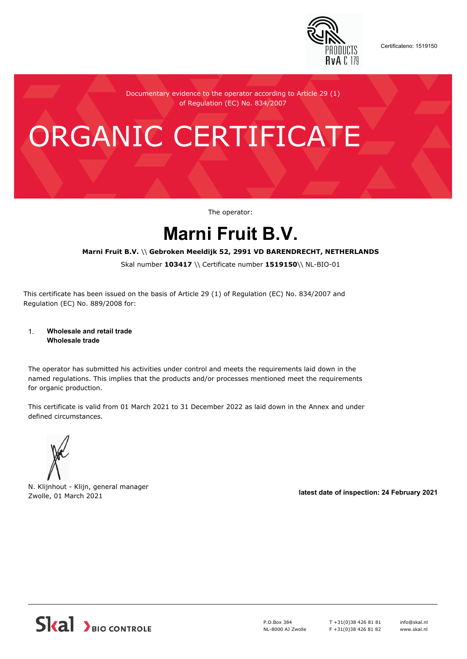

Certificateno: 1519150

Documentary evidence to the operator according to Article 29 (1) of Regulation (EC) No. 834/2007

# ORGANIC CERTIFICATE

The operator:

## **Marni Fruit B.V.**

#### **Marni Fruit B.V.** \\ **Gebroken Meeldijk 52, 2991 VD BARENDRECHT, NETHERLANDS**

Skal number **103417** \\ Certificate number **1519150**\\ NL-BIO-01

This certificate has been issued on the basis of Article 29 (1) of Regulation (EC) No. 834/2007 and Regulation (EC) No. 889/2008 for:

#### 1. **Wholesale and retail trade Wholesale trade**

The operator has submitted his activities under control and meets the requirements laid down in the named regulations. This implies that the products and/or processes mentioned meet the requirements for organic production.

This certificate is valid from 01 March 2021 to 31 December 2022 as laid down in the Annex and under defined circumstances.



N. Klijnhout - Klijn, general manager Zwolle, 01 March 2021 **latest date of inspection: 24 February 2021**



P.O.Box 384 NL-8000 AJ Zwolle T +31(0)38 426 81 81 F +31(0)38 426 81 82